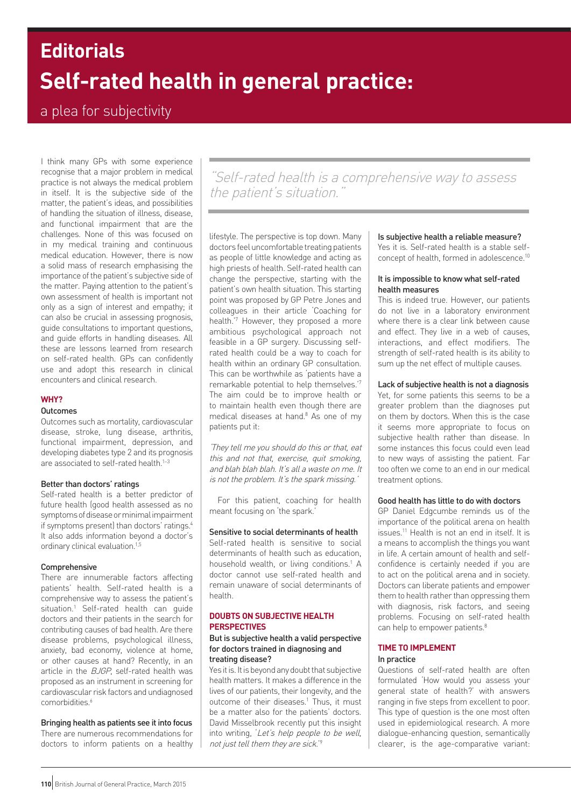# **Self-rated health in general practice: Editorials**

# a plea for subjectivity

I think many GPs with some experience recognise that a major problem in medical practice is not always the medical problem in itself. It is the subjective side of the matter, the patient's ideas, and possibilities of handling the situation of illness, disease, and functional impairment that are the challenges. None of this was focused on in my medical training and continuous medical education. However, there is now a solid mass of research emphasising the importance of the patient's subjective side of the matter. Paying attention to the patient's own assessment of health is important not only as a sign of interest and empathy; it can also be crucial in assessing prognosis, guide consultations to important questions, and guide efforts in handling diseases. All these are lessons learned from research on self-rated health. GPs can confidently use and adopt this research in clinical encounters and clinical research.

# **WHY?**

#### **Outcomes**

Outcomes such as mortality, cardiovascular disease, stroke, lung disease, arthritis, functional impairment, depression, and developing diabetes type 2 and its prognosis are associated to self-rated health.<sup>1-3</sup>

#### Better than doctors' ratings

Self-rated health is a better predictor of future health (good health assessed as no symptoms of disease or minimal impairment if symptoms present) than doctors' ratings.4 It also adds information beyond a doctor's ordinary clinical evaluation.<sup>1,5</sup>

#### Comprehensive

There are innumerable factors affecting patients' health. Self-rated health is a comprehensive way to assess the patient's situation.1 Self-rated health can guide doctors and their patients in the search for contributing causes of bad health. Are there disease problems, psychological illness, anxiety, bad economy, violence at home, or other causes at hand? Recently, in an article in the *BJGP*, self-rated health was proposed as an instrument in screening for cardiovascular risk factors and undiagnosed comorbidities.<sup>6</sup>

Bringing health as patients see it into focus There are numerous recommendations for doctors to inform patients on a healthy

"Self-rated health is a comprehensive way to assess the patient's situation."

lifestyle. The perspective is top down. Many doctors feel uncomfortable treating patients as people of little knowledge and acting as high priests of health. Self-rated health can change the perspective, starting with the patient's own health situation. This starting point was proposed by GP Petre Jones and colleagues in their article 'Coaching for health.'7 However, they proposed a more ambitious psychological approach not feasible in a GP surgery. Discussing selfrated health could be a way to coach for health within an ordinary GP consultation. This can be worthwhile as 'patients have a remarkable potential to help themselves.'7 The aim could be to improve health or to maintain health even though there are medical diseases at hand.<sup>8</sup> As one of my patients put it:

'They tell me you should do this or that, eat this and not that, exercise, quit smoking, and blah blah blah. It's all a waste on me. It is not the problem. It's the spark missing.'

For this patient, coaching for health meant focusing on 'the spark.'

# Sensitive to social determinants of health

Self-rated health is sensitive to social determinants of health such as education, household wealth, or living conditions.<sup>1</sup> A doctor cannot use self-rated health and remain unaware of social determinants of health.

## **DOUBTS ON SUBJECTIVE HEALTH PERSPECTIVES**

#### But is subjective health a valid perspective for doctors trained in diagnosing and treating disease?

Yes it is. It is beyond any doubt that subjective health matters. It makes a difference in the lives of our patients, their longevity, and the outcome of their diseases.<sup>1</sup> Thus, it must be a matter also for the patients' doctors. David Misselbrook recently put this insight into writing, 'Let's help people to be well, not just tell them they are sick.'9

## Is subjective health a reliable measure?

Yes it is. Self-rated health is a stable selfconcept of health, formed in adolescence.10

#### It is impossible to know what self-rated health measures

This is indeed true. However, our patients do not live in a laboratory environment where there is a clear link between cause and effect. They live in a web of causes, interactions, and effect modifiers. The strength of self-rated health is its ability to sum up the net effect of multiple causes.

#### Lack of subjective health is not a diagnosis

Yet, for some patients this seems to be a greater problem than the diagnoses put on them by doctors. When this is the case it seems more appropriate to focus on subjective health rather than disease. In some instances this focus could even lead to new ways of assisting the patient. Far too often we come to an end in our medical treatment options.

### Good health has little to do with doctors

GP Daniel Edgcumbe reminds us of the importance of the political arena on health issues.11 Health is not an end in itself. It is a means to accomplish the things you want in life. A certain amount of health and selfconfidence is certainly needed if you are to act on the political arena and in society. Doctors can liberate patients and empower them to health rather than oppressing them with diagnosis, risk factors, and seeing problems. Focusing on self-rated health can help to empower patients.<sup>8</sup>

# **TIME TO IMPLEMENT**

# In practice

Questions of self-rated health are often formulated 'How would you assess your general state of health?' with answers ranging in five steps from excellent to poor. This type of question is the one most often used in epidemiological research. A more dialogue-enhancing question, semantically clearer, is the age-comparative variant: